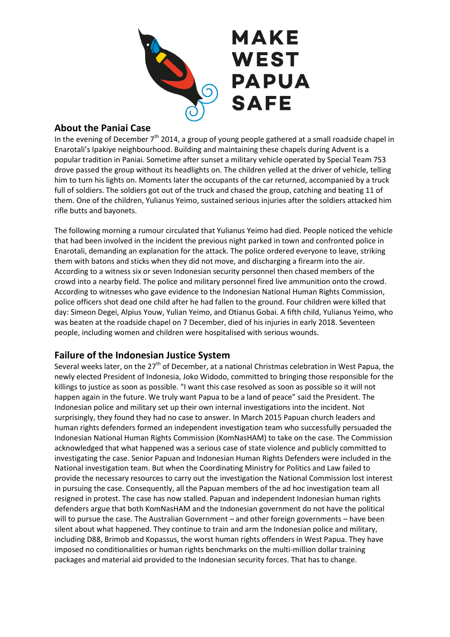

## **About the Paniai Case**

In the evening of December  $7<sup>th</sup>$  2014, a group of young people gathered at a small roadside chapel in Enarotali's Ipakiye neighbourhood. Building and maintaining these chapels during Advent is a popular tradition in Paniai. Sometime after sunset a military vehicle operated by Special Team 753 drove passed the group without its headlights on. The children yelled at the driver of vehicle, telling him to turn his lights on. Moments later the occupants of the car returned, accompanied by a truck full of soldiers. The soldiers got out of the truck and chased the group, catching and beating 11 of them. One of the children, Yulianus Yeimo, sustained serious injuries after the soldiers attacked him rifle butts and bayonets.

The following morning a rumour circulated that Yulianus Yeimo had died. People noticed the vehicle that had been involved in the incident the previous night parked in town and confronted police in Enarotali, demanding an explanation for the attack. The police ordered everyone to leave, striking them with batons and sticks when they did not move, and discharging a firearm into the air. According to a witness six or seven Indonesian security personnel then chased members of the crowd into a nearby field. The police and military personnel fired live ammunition onto the crowd. According to witnesses who gave evidence to the Indonesian National Human Rights Commission, police officers shot dead one child after he had fallen to the ground. Four children were killed that day: Simeon Degei, Alpius Youw, Yulian Yeimo, and Otianus Gobai. A fifth child, Yulianus Yeimo, who was beaten at the roadside chapel on 7 December, died of his injuries in early 2018. Seventeen people, including women and children were hospitalised with serious wounds.

## **Failure of the Indonesian Justice System**

Several weeks later, on the 27<sup>th</sup> of December, at a national Christmas celebration in West Papua, the newly elected President of Indonesia, Joko Widodo, committed to bringing those responsible for the killings to justice as soon as possible. "I want this case resolved as soon as possible so it will not happen again in the future. We truly want Papua to be a land of peace" said the President. The Indonesian police and military set up their own internal investigations into the incident. Not surprisingly, they found they had no case to answer. In March 2015 Papuan church leaders and human rights defenders formed an independent investigation team who successfully persuaded the Indonesian National Human Rights Commission (KomNasHAM) to take on the case. The Commission acknowledged that what happened was a serious case of state violence and publicly committed to investigating the case. Senior Papuan and Indonesian Human Rights Defenders were included in the National investigation team. But when the Coordinating Ministry for Politics and Law failed to provide the necessary resources to carry out the investigation the National Commission lost interest in pursuing the case. Consequently, all the Papuan members of the ad hoc investigation team all resigned in protest. The case has now stalled. Papuan and independent Indonesian human rights defenders argue that both KomNasHAM and the Indonesian government do not have the political will to pursue the case. The Australian Government – and other foreign governments – have been silent about what happened. They continue to train and arm the Indonesian police and military, including D88, Brimob and Kopassus, the worst human rights offenders in West Papua. They have imposed no conditionalities or human rights benchmarks on the multi-million dollar training packages and material aid provided to the Indonesian security forces. That has to change.